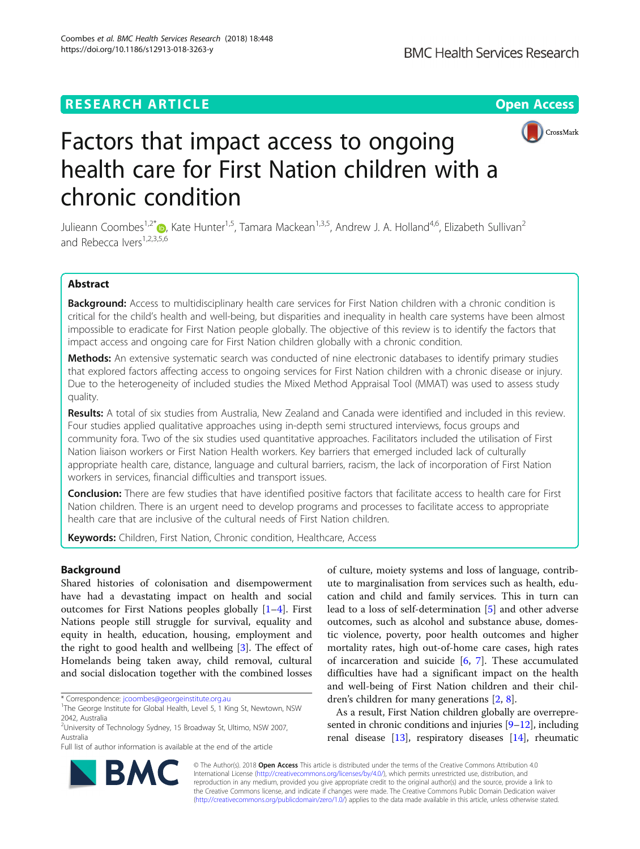# **RESEARCH ARTICLE Example 2014 12:30 The Contract of Contract ACCESS**



# Factors that impact access to ongoing health care for First Nation children with a chronic condition

Julieann Coombes<sup>1[,](http://orcid.org/0000-0001-7212-8693)2\*</sup> (b, Kate Hunter<sup>1,5</sup>, Tamara Mackean<sup>1,3,5</sup>, Andrew J. A. Holland<sup>4,6</sup>, Elizabeth Sullivan<sup>2</sup> and Rebecca Ivers<sup>1,2,3,5,6</sup>

# Abstract

Background: Access to multidisciplinary health care services for First Nation children with a chronic condition is critical for the child's health and well-being, but disparities and inequality in health care systems have been almost impossible to eradicate for First Nation people globally. The objective of this review is to identify the factors that impact access and ongoing care for First Nation children globally with a chronic condition.

Methods: An extensive systematic search was conducted of nine electronic databases to identify primary studies that explored factors affecting access to ongoing services for First Nation children with a chronic disease or injury. Due to the heterogeneity of included studies the Mixed Method Appraisal Tool (MMAT) was used to assess study quality.

Results: A total of six studies from Australia, New Zealand and Canada were identified and included in this review. Four studies applied qualitative approaches using in-depth semi structured interviews, focus groups and community fora. Two of the six studies used quantitative approaches. Facilitators included the utilisation of First Nation liaison workers or First Nation Health workers. Key barriers that emerged included lack of culturally appropriate health care, distance, language and cultural barriers, racism, the lack of incorporation of First Nation workers in services, financial difficulties and transport issues.

Conclusion: There are few studies that have identified positive factors that facilitate access to health care for First Nation children. There is an urgent need to develop programs and processes to facilitate access to appropriate health care that are inclusive of the cultural needs of First Nation children.

Keywords: Children, First Nation, Chronic condition, Healthcare, Access

# Background

Shared histories of colonisation and disempowerment have had a devastating impact on health and social outcomes for First Nations peoples globally [\[1](#page-7-0)–[4\]](#page-7-0). First Nations people still struggle for survival, equality and equity in health, education, housing, employment and the right to good health and wellbeing [[3\]](#page-7-0). The effect of Homelands being taken away, child removal, cultural and social dislocation together with the combined losses

\* Correspondence: [jcoombes@georgeinstitute.org.au](mailto:jcoombes@georgeinstitute.org.au) <sup>1</sup>

<sup>2</sup>University of Technology Sydney, 15 Broadway St, Ultimo, NSW 2007, Australia

Full list of author information is available at the end of the article

of culture, moiety systems and loss of language, contribute to marginalisation from services such as health, education and child and family services. This in turn can lead to a loss of self-determination [[5\]](#page-7-0) and other adverse outcomes, such as alcohol and substance abuse, domestic violence, poverty, poor health outcomes and higher mortality rates, high out-of-home care cases, high rates of incarceration and suicide [\[6](#page-7-0), [7\]](#page-7-0). These accumulated difficulties have had a significant impact on the health and well-being of First Nation children and their children's children for many generations [\[2,](#page-7-0) [8\]](#page-7-0).

As a result, First Nation children globally are overrepre-sented in chronic conditions and injuries [\[9](#page-7-0)-[12](#page-8-0)], including renal disease [\[13](#page-8-0)], respiratory diseases [\[14\]](#page-8-0), rheumatic



© The Author(s). 2018 Open Access This article is distributed under the terms of the Creative Commons Attribution 4.0 International License [\(http://creativecommons.org/licenses/by/4.0/](http://creativecommons.org/licenses/by/4.0/)), which permits unrestricted use, distribution, and reproduction in any medium, provided you give appropriate credit to the original author(s) and the source, provide a link to the Creative Commons license, and indicate if changes were made. The Creative Commons Public Domain Dedication waiver [\(http://creativecommons.org/publicdomain/zero/1.0/](http://creativecommons.org/publicdomain/zero/1.0/)) applies to the data made available in this article, unless otherwise stated.

<sup>&</sup>lt;sup>1</sup>The George Institute for Global Health, Level 5, 1 King St, Newtown, NSW 2042, Australia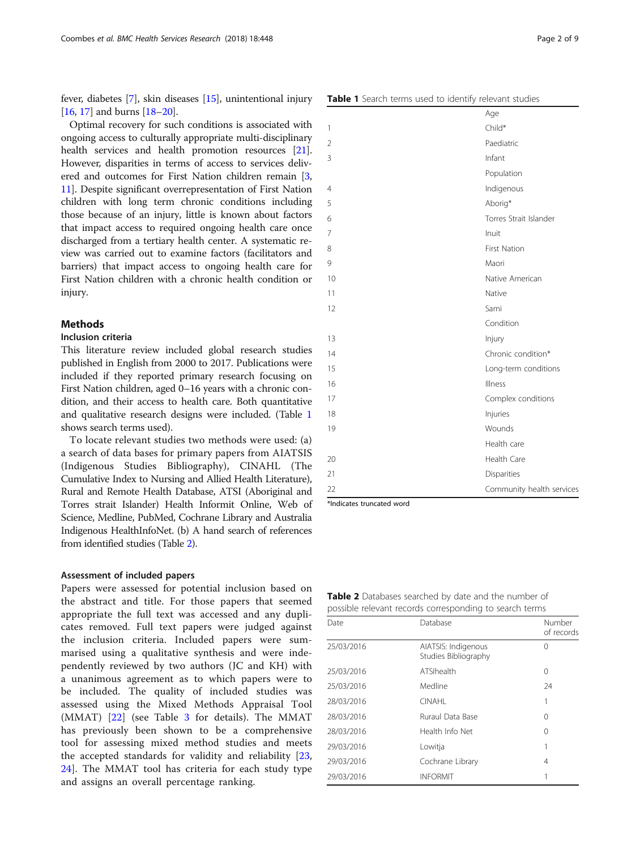fever, diabetes [\[7\]](#page-7-0), skin diseases [[15](#page-8-0)], unintentional injury [[16](#page-8-0), [17\]](#page-8-0) and burns [\[18](#page-8-0)–[20\]](#page-8-0).

Optimal recovery for such conditions is associated with ongoing access to culturally appropriate multi-disciplinary health services and health promotion resources [[21](#page-8-0)]. However, disparities in terms of access to services delivered and outcomes for First Nation children remain [[3](#page-7-0), [11](#page-8-0)]. Despite significant overrepresentation of First Nation children with long term chronic conditions including those because of an injury, little is known about factors that impact access to required ongoing health care once discharged from a tertiary health center. A systematic review was carried out to examine factors (facilitators and barriers) that impact access to ongoing health care for First Nation children with a chronic health condition or injury.

# **Methods**

#### Inclusion criteria

This literature review included global research studies published in English from 2000 to 2017. Publications were included if they reported primary research focusing on First Nation children, aged 0–16 years with a chronic condition, and their access to health care. Both quantitative and qualitative research designs were included. (Table 1 shows search terms used).

To locate relevant studies two methods were used: (a) a search of data bases for primary papers from AIATSIS (Indigenous Studies Bibliography), CINAHL (The Cumulative Index to Nursing and Allied Health Literature), Rural and Remote Health Database, ATSI (Aboriginal and Torres strait Islander) Health Informit Online, Web of Science, Medline, PubMed, Cochrane Library and Australia Indigenous HealthInfoNet. (b) A hand search of references from identified studies (Table 2).

#### Assessment of included papers

Papers were assessed for potential inclusion based on the abstract and title. For those papers that seemed appropriate the full text was accessed and any duplicates removed. Full text papers were judged against the inclusion criteria. Included papers were summarised using a qualitative synthesis and were independently reviewed by two authors (JC and KH) with a unanimous agreement as to which papers were to be included. The quality of included studies was assessed using the Mixed Methods Appraisal Tool (MMAT) [[22\]](#page-8-0) (see Table [3](#page-2-0) for details). The MMAT has previously been shown to be a comprehensive tool for assessing mixed method studies and meets the accepted standards for validity and reliability [\[23](#page-8-0), [24\]](#page-8-0). The MMAT tool has criteria for each study type and assigns an overall percentage ranking.

|  |  |  | <b>Table 1</b> Search terms used to identify relevant studies |  |
|--|--|--|---------------------------------------------------------------|--|

|                | bearen tenns asea to raemany referant staales |
|----------------|-----------------------------------------------|
|                | Age                                           |
| $\mathbf{1}$   | Child*                                        |
| $\overline{2}$ | Paediatric                                    |
| 3              | Infant                                        |
|                | Population                                    |
| $\overline{4}$ | Indigenous                                    |
| 5              | Aborig*                                       |
| 6              | Torres Strait Islander                        |
| 7              | Inuit                                         |
| 8              | First Nation                                  |
| 9              | Maori                                         |
| 10             | Native American                               |
| 11             | Native                                        |
| 12             | Sami                                          |
|                | Condition                                     |
| 13             | Injury                                        |
| 14             | Chronic condition*                            |
| 15             | Long-term conditions                          |
| 16             | Illness                                       |
| 17             | Complex conditions                            |
| 18             | Injuries                                      |
| 19             | Wounds                                        |
|                | Health care                                   |
| 20             | Health Care                                   |
| 21             | Disparities                                   |
| 22             | Community health services                     |

\*Indicates truncated word

Table 2 Databases searched by date and the number of possible relevant records corresponding to search terms

| Date       | Database                                    | Number<br>of records |
|------------|---------------------------------------------|----------------------|
| 25/03/2016 | AIATSIS: Indigenous<br>Studies Bibliography | 0                    |
| 25/03/2016 | ATSIhealth                                  | 0                    |
| 25/03/2016 | Medline                                     | 24                   |
| 28/03/2016 | <b>CINAHI</b>                               | 1                    |
| 28/03/2016 | <b>Ruraul Data Base</b>                     | 0                    |
| 28/03/2016 | Health Info Net                             | 0                    |
| 29/03/2016 | Lowitja                                     | 1                    |
| 29/03/2016 | Cochrane Library                            | 4                    |
| 29/03/2016 | <b>INFORMIT</b>                             |                      |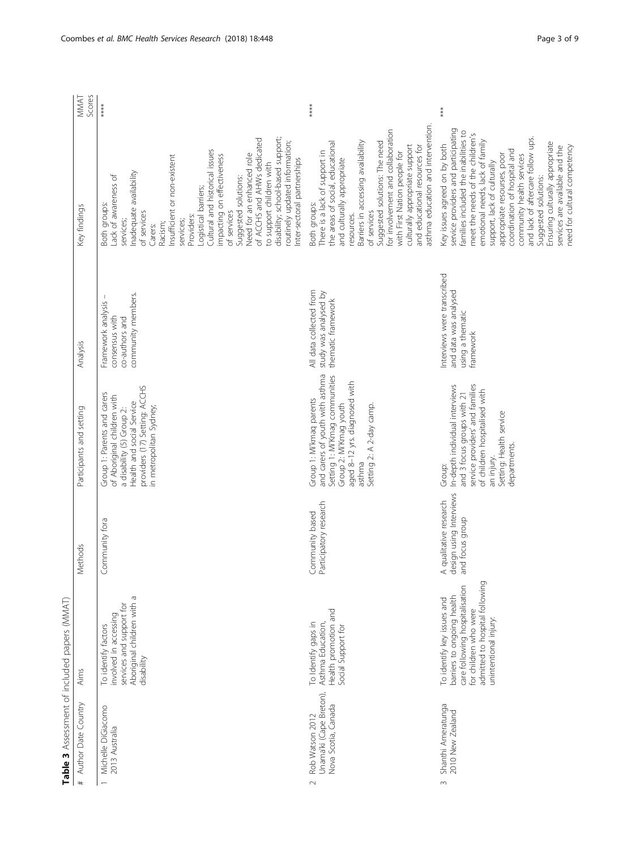<span id="page-2-0"></span>

| Table 3 Assessment of included papers (MMAT)                                |                                                                                                                                                                                |                                                                      |                                                                                                                                                                                                     |                                                                                       |                                                                                                                                                                                                                                                                                                                                                                                                                                                                                                           |                |
|-----------------------------------------------------------------------------|--------------------------------------------------------------------------------------------------------------------------------------------------------------------------------|----------------------------------------------------------------------|-----------------------------------------------------------------------------------------------------------------------------------------------------------------------------------------------------|---------------------------------------------------------------------------------------|-----------------------------------------------------------------------------------------------------------------------------------------------------------------------------------------------------------------------------------------------------------------------------------------------------------------------------------------------------------------------------------------------------------------------------------------------------------------------------------------------------------|----------------|
| # Author Date Country                                                       | Aims                                                                                                                                                                           | Methods                                                              | Participants and setting                                                                                                                                                                            | Analysis                                                                              | Key findings                                                                                                                                                                                                                                                                                                                                                                                                                                                                                              | Scores<br>MMAT |
| Michelle DiGiacomo<br>2013 Australia                                        | Aboriginal children with a<br>services and support for<br>involved in accessing<br>To identify factors<br>disability                                                           | Community fora                                                       | providers (17) Setting: ACCHS<br>Group 1: Parents and carers<br>of Aboriginal children with<br>Health and social Service<br>in metropolitan Sydney;<br>a disability (5) Group 2:                    | community members.<br>Framework analysis<br>consensus with<br>co-authors and          | disability; school-based support;<br>of ACCHS and AHWs dedicated<br>routinely updated information;<br>Cultural and historical issues<br>Need for an enhanced role<br>impacting on effectiveness<br>Insufficient or non-existent<br>Inter-sectoral partnerships<br>to support children with<br>Inadequate availability<br>Lack of awareness of<br>Suggested solutions:<br>Logistical barriers;<br>Both groups:<br>of services<br>of services<br>Providers:<br>services;<br>services;<br>Racism;<br>Carers: | ****           |
| Unama'ki (Cape Breton),<br>Nova Scotia, Canada<br>Rob Watson 2012<br>$\sim$ | Health promotion and<br>To Identify gaps in<br>Asthma Education,<br>Social Support for                                                                                         | Participatory research<br>Community based                            | and carers of youth with asthma<br>Setting 1: Mi'Kmag communities<br>aged 8-12 yrs. diagnosed with<br>Group 1: Mi'kmaq parents<br>Group 2: Mi'Kmag youth<br>Setting 2: A 2-day camp.<br>asthma      | All data collected from<br>study was analysed by<br>thematic framework                | asthma education and intervention.<br>for involvement and collaboration<br>Suggested solutions: The need<br>the areas of social, educational<br>Barriers in accessing availability<br>culturally appropriate support<br>and educational resources for<br>There is a lack of support in<br>with First Nation people for<br>and culturally appropriate<br>Both groups:<br>of services<br>resources.                                                                                                         | ****           |
| Shanthi Ameratunga<br>2010 New Zealand<br>$\infty$                          | admitted to hospital following<br>care following hospitalisation<br>barriers to ongoing health<br>To identify key issues and<br>for children who were<br>unintentional injury: | design using Interviews<br>A qualitative research<br>and focus group | service providers' and families<br>In-depth individual interviews<br>of children hospitalised with<br>and 3 focus groups with 21<br>Setting: Health service<br>departments.<br>an injury.<br>Group: | Interviews were transcribed<br>and data was analysed<br>using a thematic<br>framework | service providers and participating<br>families included the inabilities to<br>meet the needs of the children's<br>and lack of aftercare follow ups.<br>emotional needs, lack of family<br>Ensuring culturally appropriate<br>Key issues agreed on by both<br>need for cultural competency<br>services are available and the<br>coordination of hospital and<br>appropriate resourses, poor<br>community health services<br>support, lack of culturally<br>Suggested solutions:                           | $***$          |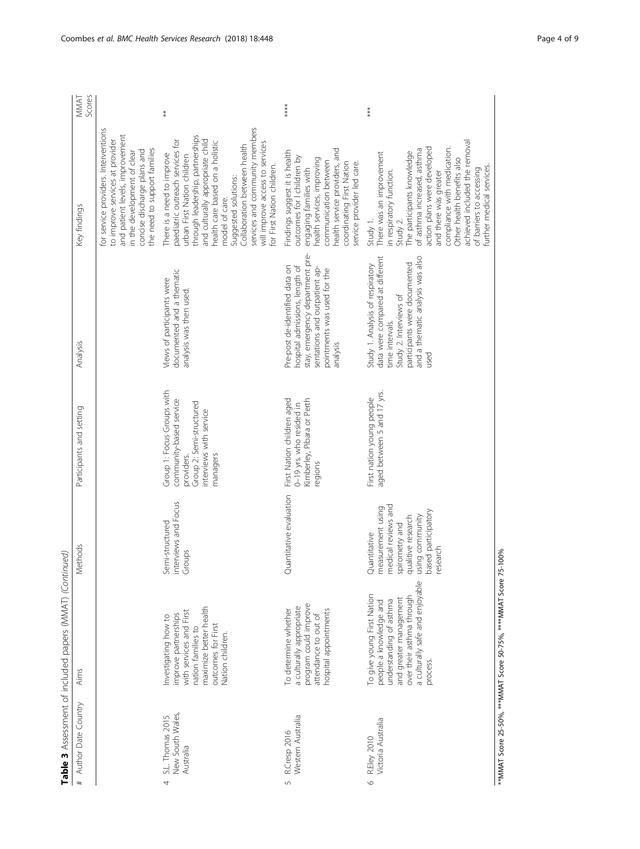| Coombes et al. BMC Health Services Research (2018) 18:448 | Page 4 of 9 |
|-----------------------------------------------------------|-------------|
|                                                           |             |

|                                                        | Table 3 Assessment of included papers (MMAT) (Continued)                                                                                                                              |                                                                                                                                                        |                                                                                                                                        |                                                                                                                                                                                              |                                                                                                                                                                                                                                                                                                                                                                                      |                |
|--------------------------------------------------------|---------------------------------------------------------------------------------------------------------------------------------------------------------------------------------------|--------------------------------------------------------------------------------------------------------------------------------------------------------|----------------------------------------------------------------------------------------------------------------------------------------|----------------------------------------------------------------------------------------------------------------------------------------------------------------------------------------------|--------------------------------------------------------------------------------------------------------------------------------------------------------------------------------------------------------------------------------------------------------------------------------------------------------------------------------------------------------------------------------------|----------------|
| # Author Date Country                                  | Aims                                                                                                                                                                                  | Methods                                                                                                                                                | Participants and setting                                                                                                               | Analysis                                                                                                                                                                                     | Key findings                                                                                                                                                                                                                                                                                                                                                                         | Scores<br>MMAT |
|                                                        |                                                                                                                                                                                       |                                                                                                                                                        |                                                                                                                                        |                                                                                                                                                                                              | for service providers. Interventions<br>and patient levels, improvement<br>to improve services at provider<br>the need to support families<br>concise discharge plans and<br>in the development of clear                                                                                                                                                                             |                |
| New South Wales,<br>S.L. Thomas 2015<br>Australia<br>4 | maximize better health<br>with services and First<br>improve partnerships<br>nvestigating how to<br>outcomes for First<br>nation families to<br>Nation children.                      | interviews and Focus<br>Semi-structured<br>Groups                                                                                                      | Group 1: Focus Groups with<br>community-based service<br>Group 2: Semi-structured<br>interviews with service<br>managers<br>providers. | documented and a thematic<br>Views of participants were<br>analysis was then used.                                                                                                           | services and community members<br>through leadership, partnerships<br>paediatric outreach services for<br>and culturally appropriate child<br>nealth care based on a holistic<br>will improve access to services<br>Collaboration between health<br>There is a need to improve<br>urban First Nation children<br>or First Nation children.<br>Suggested solutions:<br>model of care. | $\ast$         |
| Western Australia<br>R.Cresp 2016<br>L)                | program could improve<br>a culturally appropriate<br>hospital appointments<br>To determine whether<br>attendance to out of                                                            | Quantitative evaluation                                                                                                                                | Kimberley, Pibara or Perth<br>First Nation children aged<br>0-19 yrs. who resided in<br>egions                                         | stay, emergency department pre-<br>Pre-post de-identified data on<br>hospital admissions, length of<br>sentations and outpatient ap-<br>pointments was used for the<br>analysis              | health service providers, and<br>Findings suggest it is health<br>outcomes for I children by<br>health services, improving<br>communication between<br>coordinating First Nation<br>service provider led care.<br>engaging families with                                                                                                                                             | ****           |
| Victoria Australia<br>R.Eley 2010<br>$\circ$           | a culturally safe and enjoyable<br>To give young First Nation<br>over their asthma through<br>and greater management<br>people a knowledge and<br>understanding of asthma<br>process. | medical reviews and<br>measurement using<br>based participatory<br>using community<br>qualitive research<br>spirometry and<br>Quantitative<br>research | aged between 5 and 17 yrs.<br>First nation young people                                                                                | data were compared at different<br>and a thematic analysis was also<br>participants were documented<br>Study 1. Analysis of respiratory<br>Study 2. Interviews of<br>time intervals.<br>used | achieved included the removal<br>action plans were developed<br>compliance with medication.<br>of asthma increased, asthma<br>The participants knowledge<br>There was an improvement<br>Other health benefits also<br>further medical services.<br>of barriers to accessing<br>n respiratory function.<br>and there was greater<br>Study 1.<br>Study 2.                              | ***            |

\*\*MMAT Score 25-50%, \*\*\*MMAT Score 50-75%, \*\*\*\*MMAT Score 75-100% \*\*MMAT Score 25-50%, \*\*\*MMAT Score 50-75%, \*\*\*\*MMAT Score 75-100%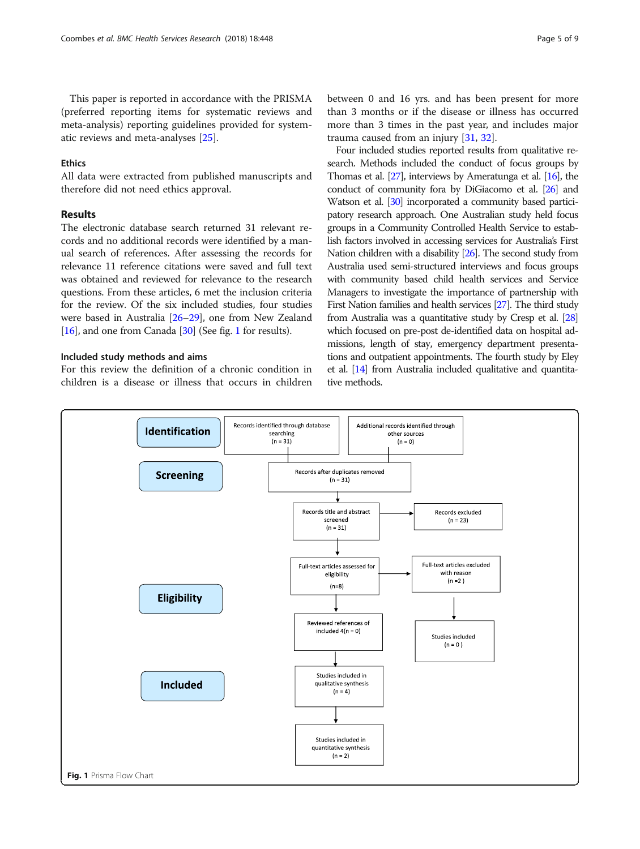This paper is reported in accordance with the PRISMA (preferred reporting items for systematic reviews and meta-analysis) reporting guidelines provided for systematic reviews and meta-analyses [\[25](#page-8-0)].

#### **Ethics**

All data were extracted from published manuscripts and therefore did not need ethics approval.

# Results

The electronic database search returned 31 relevant records and no additional records were identified by a manual search of references. After assessing the records for relevance 11 reference citations were saved and full text was obtained and reviewed for relevance to the research questions. From these articles, 6 met the inclusion criteria for the review. Of the six included studies, four studies were based in Australia [\[26](#page-8-0)–[29\]](#page-8-0), one from New Zealand [[16](#page-8-0)], and one from Canada [[30](#page-8-0)] (See fig. 1 for results).

# Included study methods and aims

For this review the definition of a chronic condition in children is a disease or illness that occurs in children between 0 and 16 yrs. and has been present for more than 3 months or if the disease or illness has occurred more than 3 times in the past year, and includes major trauma caused from an injury [[31,](#page-8-0) [32](#page-8-0)].

Four included studies reported results from qualitative research. Methods included the conduct of focus groups by Thomas et al. [[27\]](#page-8-0), interviews by Ameratunga et al. [\[16\]](#page-8-0), the conduct of community fora by DiGiacomo et al. [[26\]](#page-8-0) and Watson et al. [\[30](#page-8-0)] incorporated a community based participatory research approach. One Australian study held focus groups in a Community Controlled Health Service to establish factors involved in accessing services for Australia's First Nation children with a disability [[26\]](#page-8-0). The second study from Australia used semi-structured interviews and focus groups with community based child health services and Service Managers to investigate the importance of partnership with First Nation families and health services [\[27\]](#page-8-0). The third study from Australia was a quantitative study by Cresp et al. [\[28](#page-8-0)] which focused on pre-post de-identified data on hospital admissions, length of stay, emergency department presentations and outpatient appointments. The fourth study by Eley et al. [\[14\]](#page-8-0) from Australia included qualitative and quantitative methods.

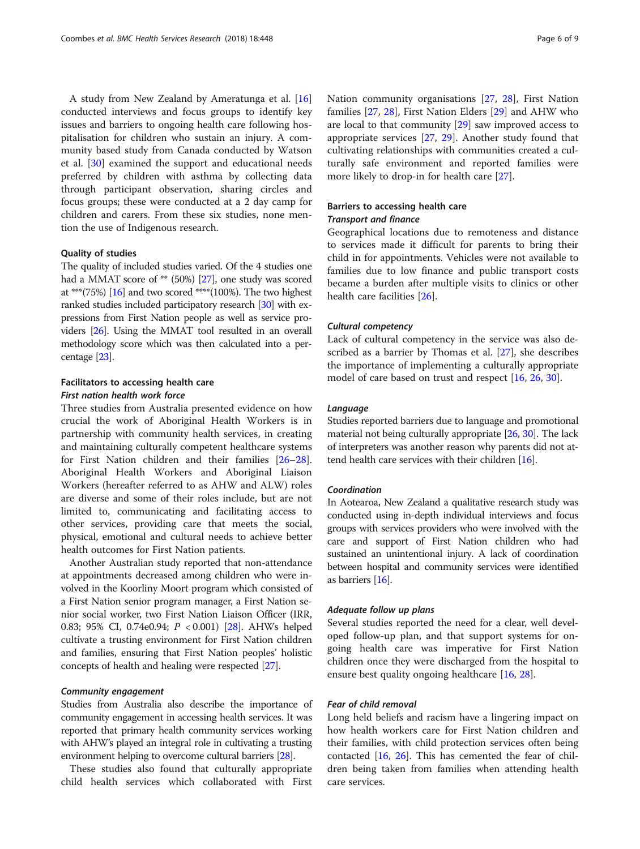A study from New Zealand by Ameratunga et al. [[16](#page-8-0)] conducted interviews and focus groups to identify key issues and barriers to ongoing health care following hospitalisation for children who sustain an injury. A community based study from Canada conducted by Watson et al. [[30](#page-8-0)] examined the support and educational needs preferred by children with asthma by collecting data through participant observation, sharing circles and focus groups; these were conducted at a 2 day camp for children and carers. From these six studies, none mention the use of Indigenous research.

#### Quality of studies

The quality of included studies varied. Of the 4 studies one had a MMAT score of \*\* (50%) [[27](#page-8-0)], one study was scored at \*\*\*(75%) [\[16\]](#page-8-0) and two scored \*\*\*\*(100%). The two highest ranked studies included participatory research [\[30](#page-8-0)] with expressions from First Nation people as well as service providers [\[26](#page-8-0)]. Using the MMAT tool resulted in an overall methodology score which was then calculated into a percentage [\[23](#page-8-0)].

# Facilitators to accessing health care First nation health work force

Three studies from Australia presented evidence on how crucial the work of Aboriginal Health Workers is in partnership with community health services, in creating and maintaining culturally competent healthcare systems for First Nation children and their families [[26](#page-8-0)–[28](#page-8-0)]. Aboriginal Health Workers and Aboriginal Liaison Workers (hereafter referred to as AHW and ALW) roles are diverse and some of their roles include, but are not limited to, communicating and facilitating access to other services, providing care that meets the social, physical, emotional and cultural needs to achieve better health outcomes for First Nation patients.

Another Australian study reported that non-attendance at appointments decreased among children who were involved in the Koorliny Moort program which consisted of a First Nation senior program manager, a First Nation senior social worker, two First Nation Liaison Officer (IRR, 0.83; 95% CI, 0.74e0.94; P < 0.001) [[28](#page-8-0)]. AHWs helped cultivate a trusting environment for First Nation children and families, ensuring that First Nation peoples' holistic concepts of health and healing were respected [[27](#page-8-0)].

# Community engagement

Studies from Australia also describe the importance of community engagement in accessing health services. It was reported that primary health community services working with AHW's played an integral role in cultivating a trusting environment helping to overcome cultural barriers [\[28\]](#page-8-0).

These studies also found that culturally appropriate child health services which collaborated with First Nation community organisations [[27,](#page-8-0) [28](#page-8-0)], First Nation families [\[27](#page-8-0), [28](#page-8-0)], First Nation Elders [[29](#page-8-0)] and AHW who are local to that community [[29\]](#page-8-0) saw improved access to appropriate services [[27,](#page-8-0) [29\]](#page-8-0). Another study found that cultivating relationships with communities created a culturally safe environment and reported families were more likely to drop-in for health care [[27\]](#page-8-0).

# Barriers to accessing health care

# Transport and finance

Geographical locations due to remoteness and distance to services made it difficult for parents to bring their child in for appointments. Vehicles were not available to families due to low finance and public transport costs became a burden after multiple visits to clinics or other health care facilities [[26\]](#page-8-0).

# Cultural competency

Lack of cultural competency in the service was also described as a barrier by Thomas et al. [\[27](#page-8-0)], she describes the importance of implementing a culturally appropriate model of care based on trust and respect [[16](#page-8-0), [26](#page-8-0), [30](#page-8-0)].

## Language

Studies reported barriers due to language and promotional material not being culturally appropriate [\[26,](#page-8-0) [30](#page-8-0)]. The lack of interpreters was another reason why parents did not attend health care services with their children [\[16](#page-8-0)].

## Coordination

In Aotearoa, New Zealand a qualitative research study was conducted using in-depth individual interviews and focus groups with services providers who were involved with the care and support of First Nation children who had sustained an unintentional injury. A lack of coordination between hospital and community services were identified as barriers [[16](#page-8-0)].

#### Adequate follow up plans

Several studies reported the need for a clear, well developed follow-up plan, and that support systems for ongoing health care was imperative for First Nation children once they were discharged from the hospital to ensure best quality ongoing healthcare [[16,](#page-8-0) [28](#page-8-0)].

# Fear of child removal

Long held beliefs and racism have a lingering impact on how health workers care for First Nation children and their families, with child protection services often being contacted [[16,](#page-8-0) [26\]](#page-8-0). This has cemented the fear of children being taken from families when attending health care services.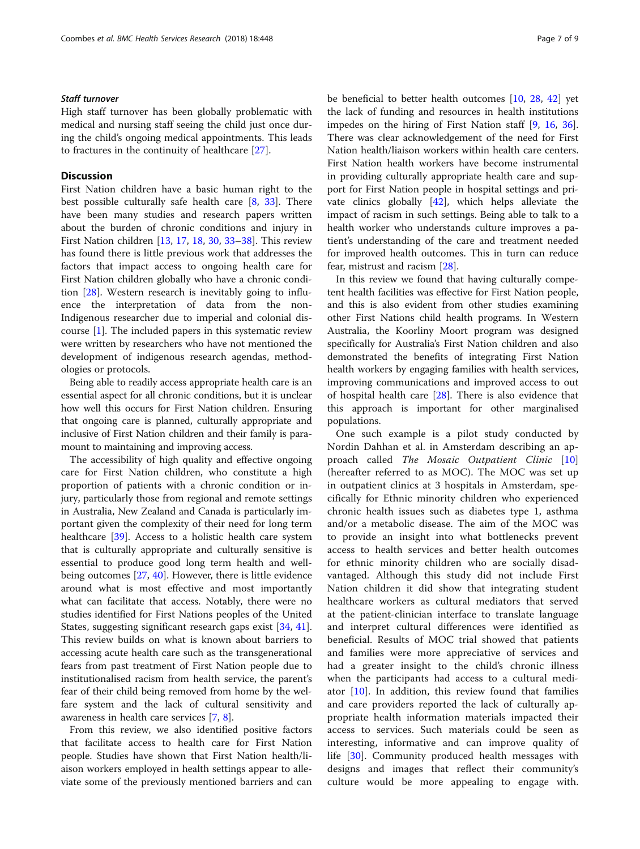## Staff turnover

High staff turnover has been globally problematic with medical and nursing staff seeing the child just once during the child's ongoing medical appointments. This leads to fractures in the continuity of healthcare [\[27\]](#page-8-0).

# **Discussion**

First Nation children have a basic human right to the best possible culturally safe health care [\[8](#page-7-0), [33](#page-8-0)]. There have been many studies and research papers written about the burden of chronic conditions and injury in First Nation children [[13,](#page-8-0) [17,](#page-8-0) [18,](#page-8-0) [30,](#page-8-0) [33](#page-8-0)–[38\]](#page-8-0). This review has found there is little previous work that addresses the factors that impact access to ongoing health care for First Nation children globally who have a chronic condition [\[28\]](#page-8-0). Western research is inevitably going to influence the interpretation of data from the non-Indigenous researcher due to imperial and colonial discourse [[1\]](#page-7-0). The included papers in this systematic review were written by researchers who have not mentioned the development of indigenous research agendas, methodologies or protocols.

Being able to readily access appropriate health care is an essential aspect for all chronic conditions, but it is unclear how well this occurs for First Nation children. Ensuring that ongoing care is planned, culturally appropriate and inclusive of First Nation children and their family is paramount to maintaining and improving access.

The accessibility of high quality and effective ongoing care for First Nation children, who constitute a high proportion of patients with a chronic condition or injury, particularly those from regional and remote settings in Australia, New Zealand and Canada is particularly important given the complexity of their need for long term healthcare [\[39\]](#page-8-0). Access to a holistic health care system that is culturally appropriate and culturally sensitive is essential to produce good long term health and wellbeing outcomes [\[27](#page-8-0), [40\]](#page-8-0). However, there is little evidence around what is most effective and most importantly what can facilitate that access. Notably, there were no studies identified for First Nations peoples of the United States, suggesting significant research gaps exist [\[34](#page-8-0), [41](#page-8-0)]. This review builds on what is known about barriers to accessing acute health care such as the transgenerational fears from past treatment of First Nation people due to institutionalised racism from health service, the parent's fear of their child being removed from home by the welfare system and the lack of cultural sensitivity and awareness in health care services [\[7](#page-7-0), [8](#page-7-0)].

From this review, we also identified positive factors that facilitate access to health care for First Nation people. Studies have shown that First Nation health/liaison workers employed in health settings appear to alleviate some of the previously mentioned barriers and can be beneficial to better health outcomes [\[10](#page-7-0), [28](#page-8-0), [42](#page-8-0)] yet the lack of funding and resources in health institutions impedes on the hiring of First Nation staff [[9,](#page-7-0) [16,](#page-8-0) [36](#page-8-0)]. There was clear acknowledgement of the need for First Nation health/liaison workers within health care centers. First Nation health workers have become instrumental in providing culturally appropriate health care and support for First Nation people in hospital settings and private clinics globally [\[42\]](#page-8-0), which helps alleviate the impact of racism in such settings. Being able to talk to a health worker who understands culture improves a patient's understanding of the care and treatment needed for improved health outcomes. This in turn can reduce fear, mistrust and racism [\[28\]](#page-8-0).

In this review we found that having culturally competent health facilities was effective for First Nation people, and this is also evident from other studies examining other First Nations child health programs. In Western Australia, the Koorliny Moort program was designed specifically for Australia's First Nation children and also demonstrated the benefits of integrating First Nation health workers by engaging families with health services, improving communications and improved access to out of hospital health care [[28\]](#page-8-0). There is also evidence that this approach is important for other marginalised populations.

One such example is a pilot study conducted by Nordin Dahhan et al. in Amsterdam describing an ap-proach called The Mosaic Outpatient Clinic [\[10](#page-7-0)] (hereafter referred to as MOC). The MOC was set up in outpatient clinics at 3 hospitals in Amsterdam, specifically for Ethnic minority children who experienced chronic health issues such as diabetes type 1, asthma and/or a metabolic disease. The aim of the MOC was to provide an insight into what bottlenecks prevent access to health services and better health outcomes for ethnic minority children who are socially disadvantaged. Although this study did not include First Nation children it did show that integrating student healthcare workers as cultural mediators that served at the patient-clinician interface to translate language and interpret cultural differences were identified as beneficial. Results of MOC trial showed that patients and families were more appreciative of services and had a greater insight to the child's chronic illness when the participants had access to a cultural mediator [\[10](#page-7-0)]. In addition, this review found that families and care providers reported the lack of culturally appropriate health information materials impacted their access to services. Such materials could be seen as interesting, informative and can improve quality of life [[30\]](#page-8-0). Community produced health messages with designs and images that reflect their community's culture would be more appealing to engage with.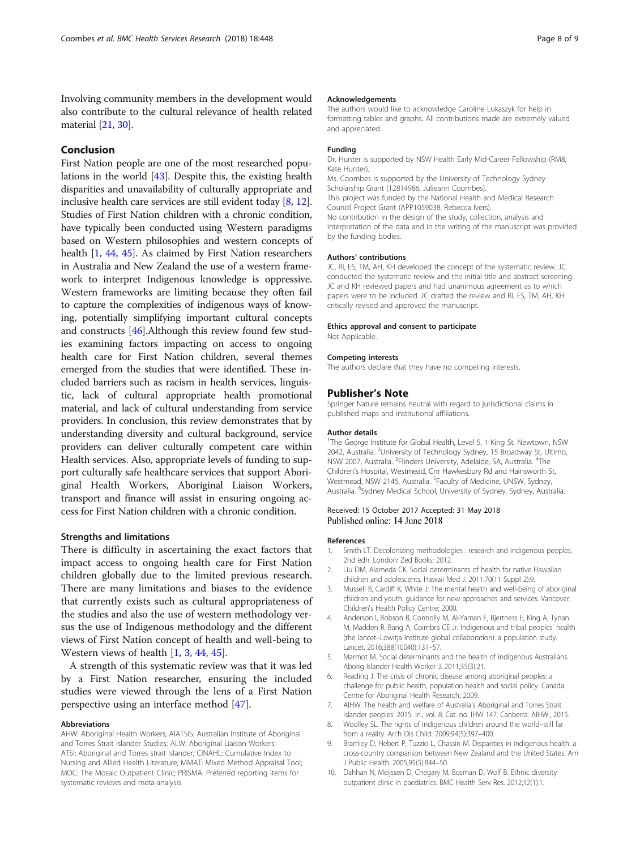<span id="page-7-0"></span>Involving community members in the development would also contribute to the cultural relevance of health related material [\[21,](#page-8-0) [30\]](#page-8-0).

# Conclusion

First Nation people are one of the most researched populations in the world [\[43](#page-8-0)]. Despite this, the existing health disparities and unavailability of culturally appropriate and inclusive health care services are still evident today [8, [12](#page-8-0)]. Studies of First Nation children with a chronic condition, have typically been conducted using Western paradigms based on Western philosophies and western concepts of health [1, [44,](#page-8-0) [45](#page-8-0)]. As claimed by First Nation researchers in Australia and New Zealand the use of a western framework to interpret Indigenous knowledge is oppressive. Western frameworks are limiting because they often fail to capture the complexities of indigenous ways of knowing, potentially simplifying important cultural concepts and constructs [[46](#page-8-0)].Although this review found few studies examining factors impacting on access to ongoing health care for First Nation children, several themes emerged from the studies that were identified. These included barriers such as racism in health services, linguistic, lack of cultural appropriate health promotional material, and lack of cultural understanding from service providers. In conclusion, this review demonstrates that by understanding diversity and cultural background, service providers can deliver culturally competent care within Health services. Also, appropriate levels of funding to support culturally safe healthcare services that support Aboriginal Health Workers, Aboriginal Liaison Workers, transport and finance will assist in ensuring ongoing access for First Nation children with a chronic condition.

#### Strengths and limitations

There is difficulty in ascertaining the exact factors that impact access to ongoing health care for First Nation children globally due to the limited previous research. There are many limitations and biases to the evidence that currently exists such as cultural appropriateness of the studies and also the use of western methodology versus the use of Indigenous methodology and the different views of First Nation concept of health and well-being to Western views of health [1, 3, [44,](#page-8-0) [45\]](#page-8-0).

A strength of this systematic review was that it was led by a First Nation researcher, ensuring the included studies were viewed through the lens of a First Nation perspective using an interface method [[47](#page-8-0)].

#### Abbreviations

AHW: Aboriginal Health Workers; AIATSIS: Australian Institute of Aboriginal and Torres Strait Islander Studies; ALW: Aboriginal Liaison Workers; ATSI: Aboriginal and Torres strait Islander; CINAHL: Cumulative Index to Nursing and Allied Health Literature; MMAT: Mixed Method Appraisal Tool; MOC: The Mosaic Outpatient Clinic; PRISMA: Preferred reporting items for systematic reviews and meta-analysis

#### Acknowledgements

The authors would like to acknowledge Caroline Lukaszyk for help in formatting tables and graphs. All contributions made are extremely valued and appreciated.

#### Funding

Dr. Hunter is supported by NSW Health Early Mid-Career Fellowship (RM8, Kate Hunter). Ms. Coombes is supported by the University of Technology Sydney Scholarship Grant (12814986, Julieann Coombes). This project was funded by the National Health and Medical Research Council Project Grant (APP1059038, Rebecca Ivers). No contribution in the design of the study, collection, analysis and interpretation of the data and in the writing of the manuscript was provided by the funding bodies.

## Authors' contributions

JC, RI, ES, TM, AH, KH developed the concept of the systematic review. JC conducted the systematic review and the initial title and abstract screening. JC and KH reviewed papers and had unanimous agreement as to which papers were to be included. JC drafted the review and RI, ES, TM, AH, KH critically revised and approved the manuscript.

#### Ethics approval and consent to participate

Not Applicable.

#### Competing interests

The authors declare that they have no competing interests.

#### Publisher's Note

Springer Nature remains neutral with regard to jurisdictional claims in published maps and institutional affiliations.

#### Author details

<sup>1</sup>The George Institute for Global Health, Level 5, 1 King St, Newtown, NSW 2042, Australia. <sup>2</sup>University of Technology Sydney, 15 Broadway St, Ultimo, NSW 2007, Australia. <sup>3</sup>Flinders University, Adelaide, SA, Australia. <sup>4</sup>The Children's Hospital, Westmead, Cnr Hawkesbury Rd and Hainsworth St, Westmead, NSW 2145, Australia. <sup>5</sup> Faculty of Medicine, UNSW, Sydney, Australia. <sup>6</sup>Sydney Medical School, University of Sydney, Sydney, Australia.

#### Received: 15 October 2017 Accepted: 31 May 2018 Published online: 14 June 2018

#### References

- 1. Smith LT. Decolonizing methodologies : research and indigenous peoples, 2nd edn. London: Zed Books; 2012.
- 2. Liu DM, Alameda CK. Social determinants of health for native Hawaiian children and adolescents. Hawaii Med J. 2011;70(11 Suppl 2):9.
- 3. Mussell B, Cardiff K, White J: The mental health and well-being of aboriginal children and youth: guidance for new approaches and services. Vancover: Children's Health Policy Centre; 2000.
- 4. Anderson I, Robson B, Connolly M, Al-Yaman F, Bjertness E, King A, Tynan M, Madden R, Bang A, Coimbra CE Jr. Indigenous and tribal peoples' health (the lancet–Lowitja Institute global collaboration): a population study. Lancet. 2016;388(10040):131–57.
- 5. Marmot M. Social determinants and the health of indigenous Australians. Aborig Islander Health Worker J. 2011;35(3):21.
- 6. Reading J. The crisis of chronic disease among aboriginal peoples: a challenge for public health, population health and social policy. Canada: Centre for Aboriginal Health Research; 2009.
- 7. AIHW. The health and welfare of Australia's Aboriginal and Torres Strait
- Islander peoples: 2015. In., vol. 8: Cat. no. IHW 147. Canberra: AIHW.; 2015. 8. Woolley SL. The rights of indigenous children around the world–still far
- from a reality. Arch Dis Child. 2009;94(5):397–400. 9. Bramley D, Hebert P, Tuzzio L, Chassin M. Disparities in indigenous health: a cross-country comparison between New Zealand and the United States. Am J Public Health. 2005;95(5):844–50.
- 10. Dahhan N, Meijssen D, Chegary M, Bosman D, Wolf B. Ethnic diversity outpatient clinic in paediatrics. BMC Health Serv Res. 2012;12(1):1.